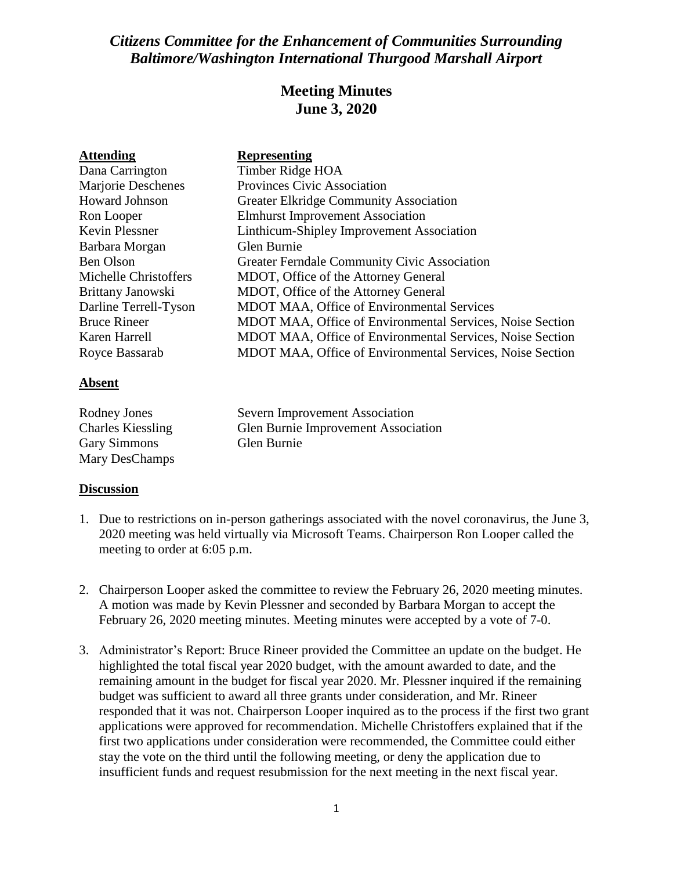# *Citizens Committee for the Enhancement of Communities Surrounding Baltimore/Washington International Thurgood Marshall Airport*

## **Meeting Minutes June 3, 2020**

| <b>Attending</b>      | <b>Representing</b>                                       |
|-----------------------|-----------------------------------------------------------|
| Dana Carrington       | Timber Ridge HOA                                          |
| Marjorie Deschenes    | <b>Provinces Civic Association</b>                        |
| <b>Howard Johnson</b> | <b>Greater Elkridge Community Association</b>             |
| Ron Looper            | <b>Elmhurst Improvement Association</b>                   |
| <b>Kevin Plessner</b> | Linthicum-Shipley Improvement Association                 |
| Barbara Morgan        | Glen Burnie                                               |
| Ben Olson             | <b>Greater Ferndale Community Civic Association</b>       |
| Michelle Christoffers | MDOT, Office of the Attorney General                      |
| Brittany Janowski     | MDOT, Office of the Attorney General                      |
| Darline Terrell-Tyson | <b>MDOT MAA, Office of Environmental Services</b>         |
| <b>Bruce Rineer</b>   | MDOT MAA, Office of Environmental Services, Noise Section |
| Karen Harrell         | MDOT MAA, Office of Environmental Services, Noise Section |
| Royce Bassarab        | MDOT MAA, Office of Environmental Services, Noise Section |

### **Absent**

| Rodney Jones             | Severn Improvement Association      |
|--------------------------|-------------------------------------|
| <b>Charles Kiessling</b> | Glen Burnie Improvement Association |
| <b>Gary Simmons</b>      | Glen Burnie                         |
| Mary DesChamps           |                                     |

## **Discussion**

- 1. Due to restrictions on in-person gatherings associated with the novel coronavirus, the June 3, 2020 meeting was held virtually via Microsoft Teams. Chairperson Ron Looper called the meeting to order at 6:05 p.m.
- 2. Chairperson Looper asked the committee to review the February 26, 2020 meeting minutes. A motion was made by Kevin Plessner and seconded by Barbara Morgan to accept the February 26, 2020 meeting minutes. Meeting minutes were accepted by a vote of 7-0.
- 3. Administrator's Report: Bruce Rineer provided the Committee an update on the budget. He highlighted the total fiscal year 2020 budget, with the amount awarded to date, and the remaining amount in the budget for fiscal year 2020. Mr. Plessner inquired if the remaining budget was sufficient to award all three grants under consideration, and Mr. Rineer responded that it was not. Chairperson Looper inquired as to the process if the first two grant applications were approved for recommendation. Michelle Christoffers explained that if the first two applications under consideration were recommended, the Committee could either stay the vote on the third until the following meeting, or deny the application due to insufficient funds and request resubmission for the next meeting in the next fiscal year.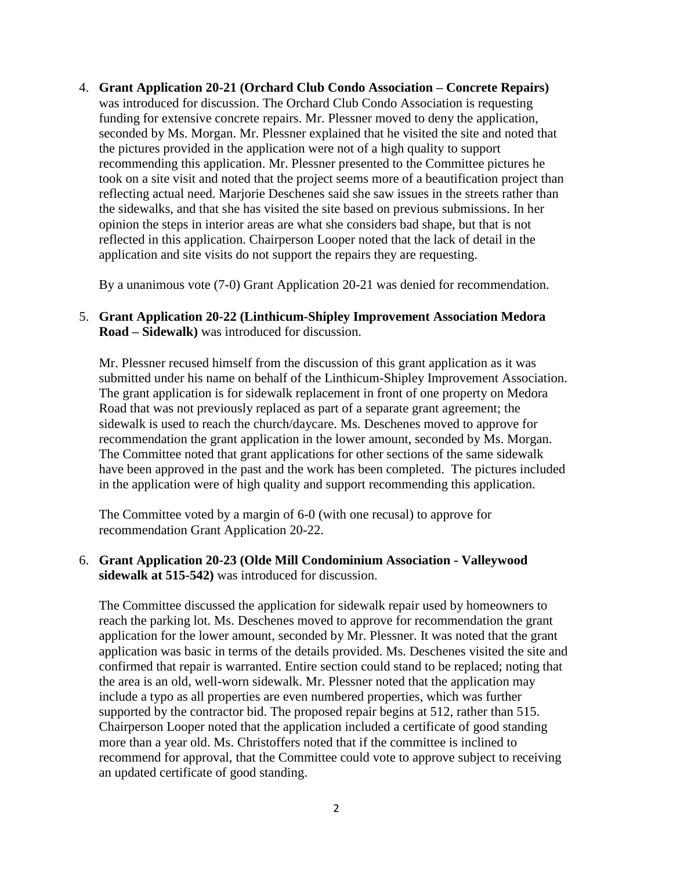4. **Grant Application 20-21 (Orchard Club Condo Association – Concrete Repairs)** was introduced for discussion. The Orchard Club Condo Association is requesting funding for extensive concrete repairs. Mr. Plessner moved to deny the application, seconded by Ms. Morgan. Mr. Plessner explained that he visited the site and noted that the pictures provided in the application were not of a high quality to support recommending this application. Mr. Plessner presented to the Committee pictures he took on a site visit and noted that the project seems more of a beautification project than reflecting actual need. Marjorie Deschenes said she saw issues in the streets rather than the sidewalks, and that she has visited the site based on previous submissions. In her opinion the steps in interior areas are what she considers bad shape, but that is not reflected in this application. Chairperson Looper noted that the lack of detail in the application and site visits do not support the repairs they are requesting.

By a unanimous vote (7-0) Grant Application 20-21 was denied for recommendation.

### 5. **Grant Application 20-22 (Linthicum-Shipley Improvement Association Medora Road – Sidewalk)** was introduced for discussion.

Mr. Plessner recused himself from the discussion of this grant application as it was submitted under his name on behalf of the Linthicum-Shipley Improvement Association. The grant application is for sidewalk replacement in front of one property on Medora Road that was not previously replaced as part of a separate grant agreement; the sidewalk is used to reach the church/daycare. Ms. Deschenes moved to approve for recommendation the grant application in the lower amount, seconded by Ms. Morgan. The Committee noted that grant applications for other sections of the same sidewalk have been approved in the past and the work has been completed. The pictures included in the application were of high quality and support recommending this application.

The Committee voted by a margin of 6-0 (with one recusal) to approve for recommendation Grant Application 20-22.

### 6. **Grant Application 20-23 (Olde Mill Condominium Association - Valleywood sidewalk at 515-542)** was introduced for discussion.

The Committee discussed the application for sidewalk repair used by homeowners to reach the parking lot. Ms. Deschenes moved to approve for recommendation the grant application for the lower amount, seconded by Mr. Plessner. It was noted that the grant application was basic in terms of the details provided. Ms. Deschenes visited the site and confirmed that repair is warranted. Entire section could stand to be replaced; noting that the area is an old, well-worn sidewalk. Mr. Plessner noted that the application may include a typo as all properties are even numbered properties, which was further supported by the contractor bid. The proposed repair begins at 512, rather than 515. Chairperson Looper noted that the application included a certificate of good standing more than a year old. Ms. Christoffers noted that if the committee is inclined to recommend for approval, that the Committee could vote to approve subject to receiving an updated certificate of good standing.